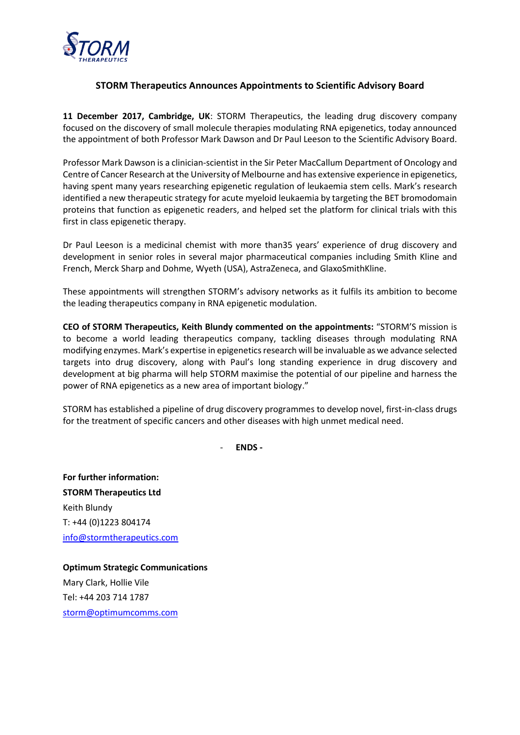

## **STORM Therapeutics Announces Appointments to Scientific Advisory Board**

**11 December 2017, Cambridge, UK**: STORM Therapeutics, the leading drug discovery company focused on the discovery of small molecule therapies modulating RNA epigenetics, today announced the appointment of both Professor Mark Dawson and Dr Paul Leeson to the Scientific Advisory Board.

Professor Mark Dawson is a clinician-scientist in the Sir Peter MacCallum Department of Oncology and Centre of Cancer Research at the University of Melbourne and has extensive experience in epigenetics, having spent many years researching epigenetic regulation of leukaemia stem cells. Mark's research identified a new therapeutic strategy for acute myeloid leukaemia by targeting the BET bromodomain proteins that function as epigenetic readers, and helped set the platform for clinical trials with this first in class epigenetic therapy.

Dr Paul Leeson is a medicinal chemist with more than35 years' experience of drug discovery and development in senior roles in several major pharmaceutical companies including Smith Kline and French, Merck Sharp and Dohme, Wyeth (USA), AstraZeneca, and GlaxoSmithKline.

These appointments will strengthen STORM's advisory networks as it fulfils its ambition to become the leading therapeutics company in RNA epigenetic modulation.

**CEO of STORM Therapeutics, Keith Blundy commented on the appointments:** "STORM'S mission is to become a world leading therapeutics company, tackling diseases through modulating RNA modifying enzymes. Mark's expertise in epigenetics research will be invaluable as we advance selected targets into drug discovery, along with Paul's long standing experience in drug discovery and development at big pharma will help STORM maximise the potential of our pipeline and harness the power of RNA epigenetics as a new area of important biology."

STORM has established a pipeline of drug discovery programmes to develop novel, first-in-class drugs for the treatment of specific cancers and other diseases with high unmet medical need.

- **ENDS -**

**For further information: STORM Therapeutics Ltd** Keith Blundy T: +44 (0)1223 804174 [info@stormtherapeutics.com](mailto:info@stormtherapeutics.com)

**Optimum Strategic Communications** Mary Clark, Hollie Vile Tel: +44 203 714 1787 [storm@optimumcomms.com](mailto:storm@optimumcomms.com)